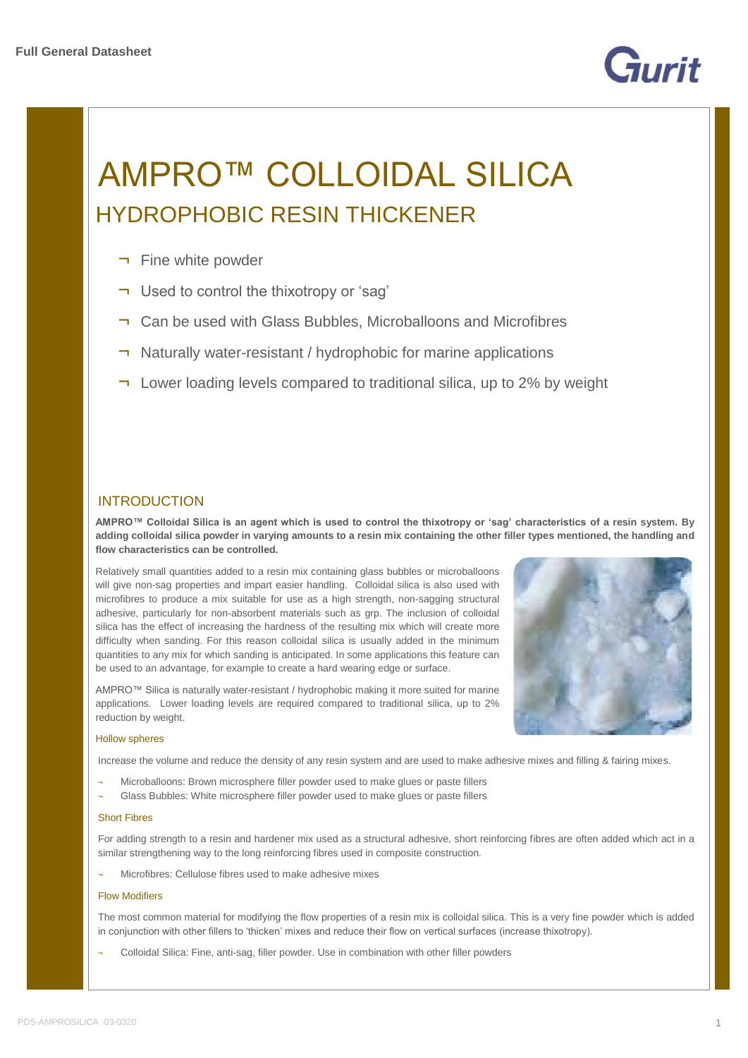

# AMPRO™ COLLOIDAL SILICA HYDROPHOBIC RESIN THICKENER

- ¬ Fine white powder
- ¬ Used to control the thixotropy or 'sag'
- ¬ Can be used with Glass Bubbles, Microballoons and Microfibres
- ¬ Naturally water-resistant / hydrophobic for marine applications
- ¬ Lower loading levels compared to traditional silica, up to 2% by weight

## INTRODUCTION

**AMPRO™ Colloidal Silica is an agent which is used to control the thixotropy or 'sag' characteristics of a resin system. By adding colloidal silica powder in varying amounts to a resin mix containing the other filler types mentioned, the handling and flow characteristics can be controlled.**

Relatively small quantities added to a resin mix containing glass bubbles or microballoons will give non-sag properties and impart easier handling. Colloidal silica is also used with microfibres to produce a mix suitable for use as a high strength, non-sagging structural adhesive, particularly for non-absorbent materials such as grp. The inclusion of colloidal silica has the effect of increasing the hardness of the resulting mix which will create more difficulty when sanding. For this reason colloidal silica is usually added in the minimum quantities to any mix for which sanding is anticipated. In some applications this feature can be used to an advantage, for example to create a hard wearing edge or surface.

AMPRO™ Silica is naturally water-resistant / hydrophobic making it more suited for marine applications. Lower loading levels are required compared to traditional silica, up to 2% reduction by weight.



### Hollow spheres

Increase the volume and reduce the density of any resin system and are used to make adhesive mixes and filling & fairing mixes.

- Microballoons: Brown microsphere filler powder used to make glues or paste fillers
- Glass Bubbles: White microsphere filler powder used to make glues or paste fillers

### Short Fibres

For adding strength to a resin and hardener mix used as a structural adhesive, short reinforcing fibres are often added which act in a similar strengthening way to the long reinforcing fibres used in composite construction.

Microfibres: Cellulose fibres used to make adhesive mixes

### Flow Modifiers

The most common material for modifying the flow properties of a resin mix is colloidal silica. This is a very fine powder which is added in conjunction with other fillers to 'thicken' mixes and reduce their flow on vertical surfaces (increase thixotropy).

Colloidal Silica: Fine, anti-sag, filler powder. Use in combination with other filler powders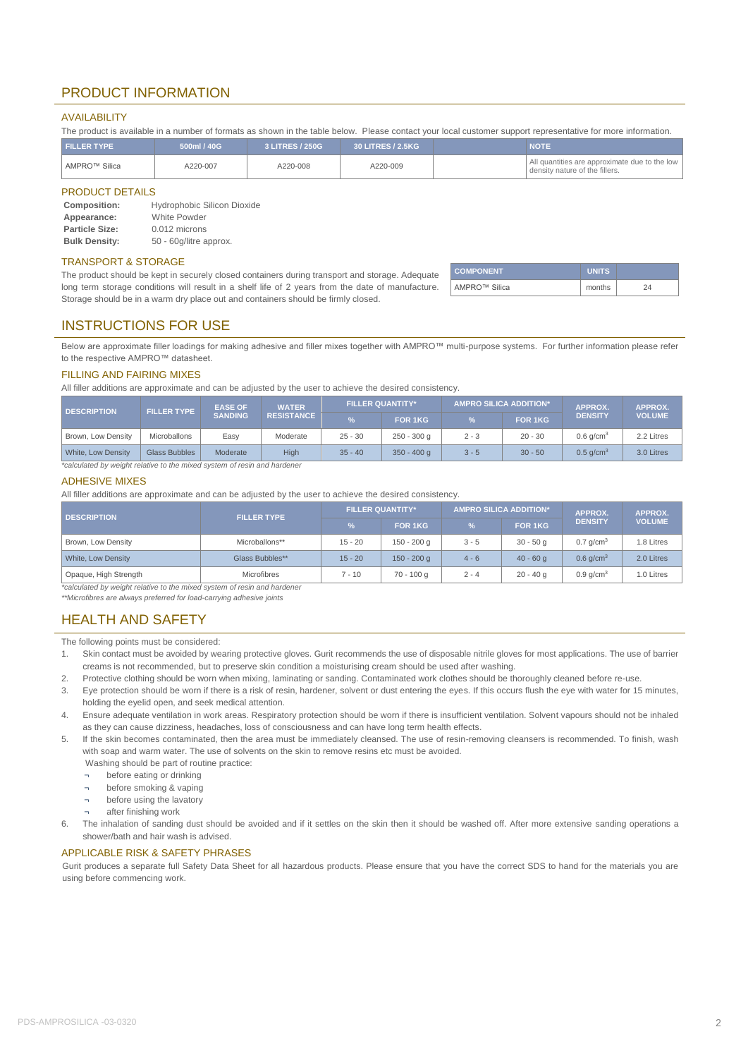## PRODUCT INFORMATION

## AVAILABILITY

The product is available in a number of formats as shown in the table below. Please contact your local customer support representative for more information.

| <b>FILLER TYPE</b> | 500ml / 40G | 3 LITRES / 250G | 30 LITRES / 2.5KG | NOTE                                                                            |
|--------------------|-------------|-----------------|-------------------|---------------------------------------------------------------------------------|
| AMPRO™ Silica      | A220-007    | A220-008        | A220-009          | All quantities are approximate due to the low<br>density nature of the fillers. |

#### PRODUCT DETAILS

| Composition:          | <b>Hydrophobic Silicon Dioxide</b> |
|-----------------------|------------------------------------|
| Appearance:           | <b>White Powder</b>                |
| <b>Particle Size:</b> | 0.012 microns                      |
| <b>Bulk Density:</b>  | 50 - 60g/litre approx.             |

#### TRANSPORT & STORAGE

The product should be kept in securely closed containers during transport and storage. Adequate long term storage conditions will result in a shelf life of 2 years from the date of manufacture. Storage should be in a warm dry place out and containers should be firmly closed.

| <b>COMPONENT</b>          | <b>UNITS</b> |  |
|---------------------------|--------------|--|
| AMPRO <sup>™</sup> Silica | months       |  |

## INSTRUCTIONS FOR USE

Below are approximate filler loadings for making adhesive and filler mixes together with AMPRO™ multi-purpose systems. For further information please refer to the respective AMPRO™ datasheet.

#### FILLING AND FAIRING MIXES

All filler additions are approximate and can be adjusted by the user to achieve the desired consistency.

|                    | <b>EASE OF</b><br><b>FILLER TYPE</b><br><b>DESCRIPTION</b><br><b>SANDING</b> |                   | <b>WATER</b> | <b>FILLER QUANTITY*</b> |               | <b>AMPRO SILICA ADDITION*</b> |                | <b>APPROX.</b>          | APPROX.    |
|--------------------|------------------------------------------------------------------------------|-------------------|--------------|-------------------------|---------------|-------------------------------|----------------|-------------------------|------------|
|                    |                                                                              | <b>RESISTANCE</b> |              | FOR 1KG                 | $\frac{9}{6}$ | FOR 1KG                       | <b>DENSITY</b> | <b>VOLUME</b>           |            |
| Brown, Low Density | Microballons                                                                 | Easy              | Moderate     | $25 - 30$               | $250 - 300$ q | $2 - 3$                       | $20 - 30$      | $0.6$ g/cm <sup>3</sup> | 2.2 Litres |
| White, Low Density | Glass Bubbles                                                                | Moderate          | <b>High</b>  | $35 - 40$               | $350 - 400$ q | $3 - 5$                       | $30 - 50$      | $0.5$ g/cm <sup>3</sup> | 3.0 Litres |

*\*calculated by weight relative to the mixed system of resin and hardener*

## ADHESIVE MIXES

All filler additions are approximate and can be adjusted by the user to achieve the desired consistency.

|                 | <b>FILLER QUANTITY*</b>                                                                                               |               | <b>AMPRO SILICA ADDITION*</b> |             | APPROX.                 | APPROX.       |
|-----------------|-----------------------------------------------------------------------------------------------------------------------|---------------|-------------------------------|-------------|-------------------------|---------------|
|                 | $\frac{9}{6}$                                                                                                         | FOR 1KG       | $\frac{9}{6}$                 | FOR 1KG     | <b>DENSITY</b>          | <b>VOLUME</b> |
| Microballons**  | $15 - 20$                                                                                                             | 150 - 200 g   | $3 - 5$                       | $30 - 50q$  | $0.7$ g/cm <sup>3</sup> | 1.8 Litres    |
| Glass Bubbles** | $15 - 20$                                                                                                             | $150 - 200$ g | $4 - 6$                       | $40 - 60a$  | $0.6$ g/cm <sup>3</sup> | 2.0 Litres    |
| Microfibres     | $7 - 10$                                                                                                              | $70 - 100$ a  | $2 - 4$                       | $20 - 40$ a | $0.9$ g/cm <sup>3</sup> | 1.0 Litres    |
|                 | <b>FILLER TYPE</b><br>the effective of the constant as fortunated the actional constance of accepts and the action of |               |                               |             |                         |               |

*\*calculated by weight relative to the mixed system of resin and hardener \*\*Microfibres are always preferred for load-carrying adhesive joints*

## HEALTH AND SAFETY

The following points must be considered:

- 1. Skin contact must be avoided by wearing protective gloves. Gurit recommends the use of disposable nitrile gloves for most applications. The use of barrier creams is not recommended, but to preserve skin condition a moisturising cream should be used after washing.
- 2. Protective clothing should be worn when mixing, laminating or sanding. Contaminated work clothes should be thoroughly cleaned before re-use.
- 3. Eye protection should be worn if there is a risk of resin, hardener, solvent or dust entering the eyes. If this occurs flush the eye with water for 15 minutes, holding the eyelid open, and seek medical attention.
- 4. Ensure adequate ventilation in work areas. Respiratory protection should be worn if there is insufficient ventilation. Solvent vapours should not be inhaled as they can cause dizziness, headaches, loss of consciousness and can have long term health effects.
- 5. If the skin becomes contaminated, then the area must be immediately cleansed. The use of resin-removing cleansers is recommended. To finish, wash with soap and warm water. The use of solvents on the skin to remove resins etc must be avoided.
	- Washing should be part of routine practice:
	- before eating or drinking
	- before smoking & vaping
	- ¬ before using the lavatory
	- after finishing work
- 6. The inhalation of sanding dust should be avoided and if it settles on the skin then it should be washed off. After more extensive sanding operations a shower/bath and hair wash is advised.

### APPLICABLE RISK & SAFETY PHRASES

Gurit produces a separate full Safety Data Sheet for all hazardous products. Please ensure that you have the correct SDS to hand for the materials you are using before commencing work.